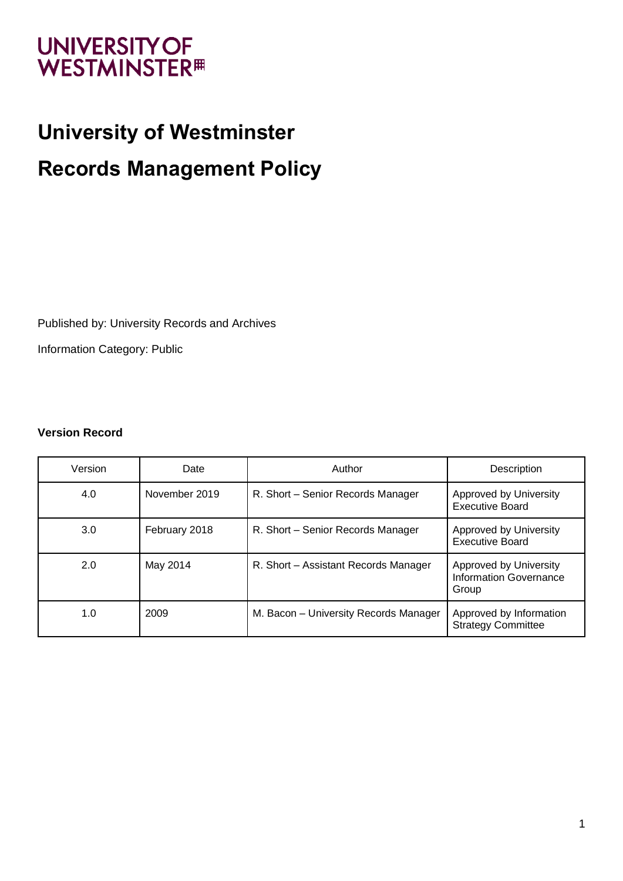# **UNIVERSITY OF WESTMINSTER<sup>#</sup>**

# **University of Westminster Records Management Policy**

Published by: University Records and Archives

Information Category: Public

#### **Version Record**

| Version | Date          | Author                                | Description                                                      |
|---------|---------------|---------------------------------------|------------------------------------------------------------------|
| 4.0     | November 2019 | R. Short - Senior Records Manager     | Approved by University<br><b>Executive Board</b>                 |
| 3.0     | February 2018 | R. Short - Senior Records Manager     | Approved by University<br><b>Executive Board</b>                 |
| 2.0     | May 2014      | R. Short - Assistant Records Manager  | Approved by University<br><b>Information Governance</b><br>Group |
| 1.0     | 2009          | M. Bacon - University Records Manager | Approved by Information<br><b>Strategy Committee</b>             |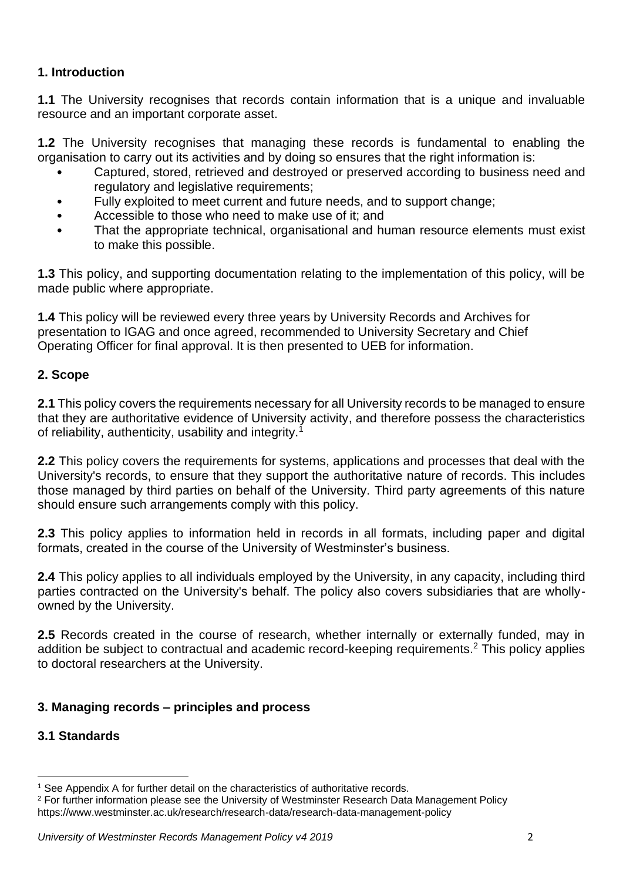#### **1. Introduction**

**1.1** The University recognises that records contain information that is a unique and invaluable resource and an important corporate asset.

**1.2** The University recognises that managing these records is fundamental to enabling the organisation to carry out its activities and by doing so ensures that the right information is:

- Captured, stored, retrieved and destroyed or preserved according to business need and regulatory and legislative requirements;
- Fully exploited to meet current and future needs, and to support change;
- Accessible to those who need to make use of it; and
- That the appropriate technical, organisational and human resource elements must exist to make this possible.

**1.3** This policy, and supporting documentation relating to the implementation of this policy, will be made public where appropriate.

**1.4** This policy will be reviewed every three years by University Records and Archives for presentation to IGAG and once agreed, recommended to University Secretary and Chief Operating Officer for final approval. It is then presented to UEB for information.

### **2. Scope**

**2.1** This policy covers the requirements necessary for all University records to be managed to ensure that they are authoritative evidence of University activity, and therefore possess the characteristics of reliability, authenticity, usability and integrity.<sup>1</sup>

**2.2** This policy covers the requirements for systems, applications and processes that deal with the University's records, to ensure that they support the authoritative nature of records. This includes those managed by third parties on behalf of the University. Third party agreements of this nature should ensure such arrangements comply with this policy.

**2.3** This policy applies to information held in records in all formats, including paper and digital formats, created in the course of the University of Westminster's business.

**2.4** This policy applies to all individuals employed by the University, in any capacity, including third parties contracted on the University's behalf. The policy also covers subsidiaries that are whollyowned by the University.

**2.5** Records created in the course of research, whether internally or externally funded, may in addition be subject to contractual and academic record-keeping requirements.<sup>2</sup> This policy applies to doctoral researchers at the University.

# **3. Managing records – principles and process**

#### **3.1 Standards**

<sup>1</sup> See Appendix A for further detail on the characteristics of authoritative records.

<sup>&</sup>lt;sup>2</sup> For further information please see the University of Westminster Research Data Management Policy https://www.westminster.ac.uk/research/research-data/research-data-management-policy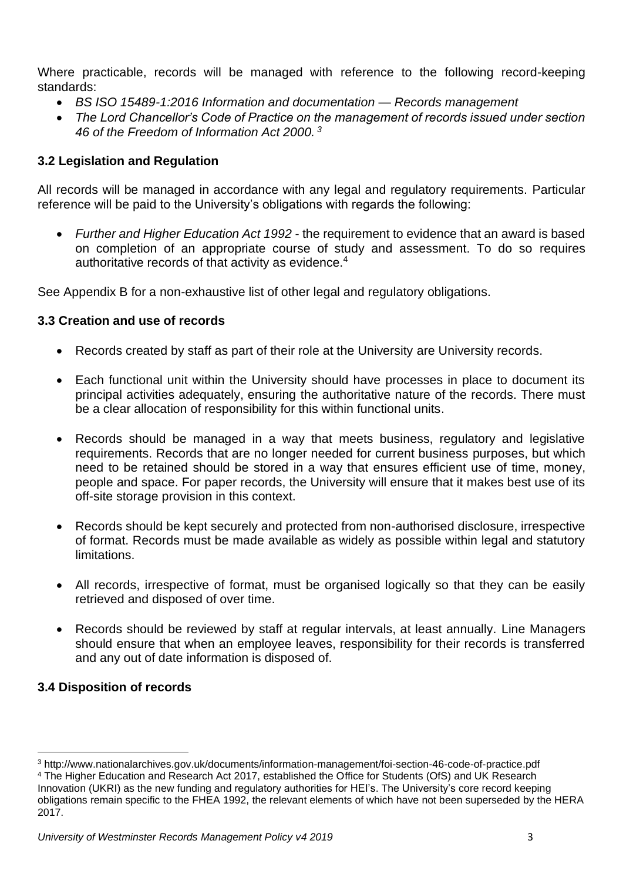Where practicable, records will be managed with reference to the following record-keeping standards:

- *BS ISO 15489-1:2016 Information and documentation — Records management*
- *The Lord Chancellor's Code of Practice on the management of records issued under section 46 of the Freedom of Information Act 2000. <sup>3</sup>*

#### **3.2 Legislation and Regulation**

All records will be managed in accordance with any legal and regulatory requirements. Particular reference will be paid to the University's obligations with regards the following:

• *Further and Higher Education Act 1992* - the requirement to evidence that an award is based on completion of an appropriate course of study and assessment. To do so requires authoritative records of that activity as evidence.<sup>4</sup>

See Appendix B for a non-exhaustive list of other legal and regulatory obligations.

#### **3.3 Creation and use of records**

- Records created by staff as part of their role at the University are University records.
- Each functional unit within the University should have processes in place to document its principal activities adequately, ensuring the authoritative nature of the records. There must be a clear allocation of responsibility for this within functional units.
- Records should be managed in a way that meets business, regulatory and legislative requirements. Records that are no longer needed for current business purposes, but which need to be retained should be stored in a way that ensures efficient use of time, money, people and space. For paper records, the University will ensure that it makes best use of its off-site storage provision in this context.
- Records should be kept securely and protected from non-authorised disclosure, irrespective of format. Records must be made available as widely as possible within legal and statutory limitations.
- All records, irrespective of format, must be organised logically so that they can be easily retrieved and disposed of over time.
- Records should be reviewed by staff at regular intervals, at least annually. Line Managers should ensure that when an employee leaves, responsibility for their records is transferred and any out of date information is disposed of.

#### **3.4 Disposition of records**

<sup>3</sup> http://www.nationalarchives.gov.uk/documents/information-management/foi-section-46-code-of-practice.pdf <sup>4</sup> The Higher Education and Research Act 2017, established the Office for Students (OfS) and UK Research Innovation (UKRI) as the new funding and regulatory authorities for HEI's. The University's core record keeping obligations remain specific to the FHEA 1992, the relevant elements of which have not been superseded by the HERA 2017.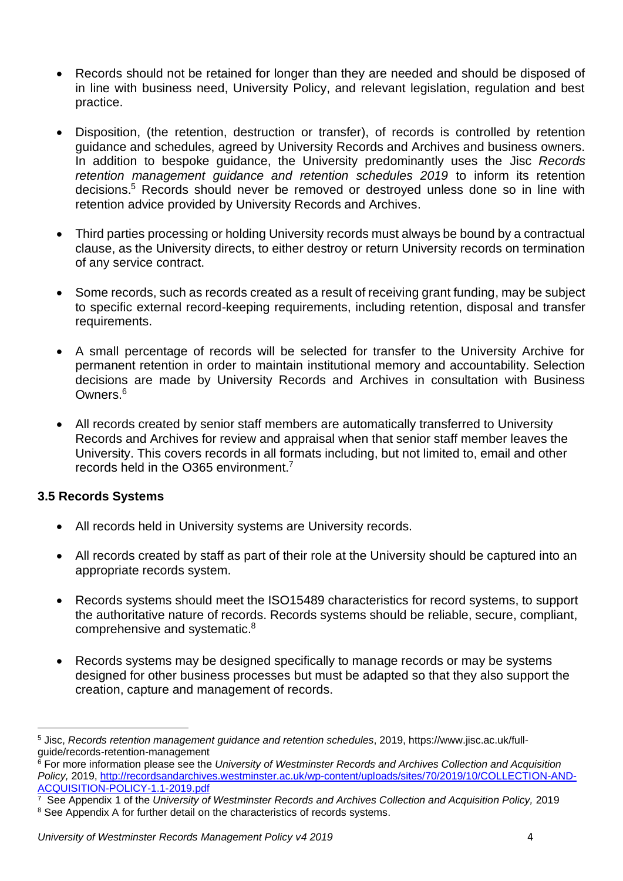- Records should not be retained for longer than they are needed and should be disposed of in line with business need, University Policy, and relevant legislation, regulation and best practice.
- Disposition, (the retention, destruction or transfer), of records is controlled by retention guidance and schedules, agreed by University Records and Archives and business owners. In addition to bespoke guidance, the University predominantly uses the Jisc *Records retention management guidance and retention schedules 2019* to inform its retention decisions.<sup>5</sup> Records should never be removed or destroyed unless done so in line with retention advice provided by University Records and Archives.
- Third parties processing or holding University records must always be bound by a contractual clause, as the University directs, to either destroy or return University records on termination of any service contract.
- Some records, such as records created as a result of receiving grant funding, may be subject to specific external record-keeping requirements, including retention, disposal and transfer requirements.
- A small percentage of records will be selected for transfer to the University Archive for permanent retention in order to maintain institutional memory and accountability. Selection decisions are made by University Records and Archives in consultation with Business Owners.<sup>6</sup>
- All records created by senior staff members are automatically transferred to University Records and Archives for review and appraisal when that senior staff member leaves the University. This covers records in all formats including, but not limited to, email and other records held in the O365 environment.<sup>7</sup>

#### **3.5 Records Systems**

- All records held in University systems are University records.
- All records created by staff as part of their role at the University should be captured into an appropriate records system.
- Records systems should meet the ISO15489 characteristics for record systems, to support the authoritative nature of records. Records systems should be reliable, secure, compliant, comprehensive and systematic.<sup>8</sup>
- Records systems may be designed specifically to manage records or may be systems designed for other business processes but must be adapted so that they also support the creation, capture and management of records.

<sup>5</sup> Jisc, *Records retention management guidance and retention schedules*, 2019, https://www.jisc.ac.uk/fullguide/records-retention-management

<sup>6</sup> For more information please see the *University of Westminster Records and Archives Collection and Acquisition Policy,* 2019, http://recordsandarchives.westminster.ac.uk/wp-content/uploads/sites/70/2019/10/COLLECTION-AND-ACQUISITION-POLICY-1.1-2019.pdf

<sup>7</sup> See Appendix 1 of the *University of Westminster Records and Archives Collection and Acquisition Policy,* 2019 <sup>8</sup> See Appendix A for further detail on the characteristics of records systems.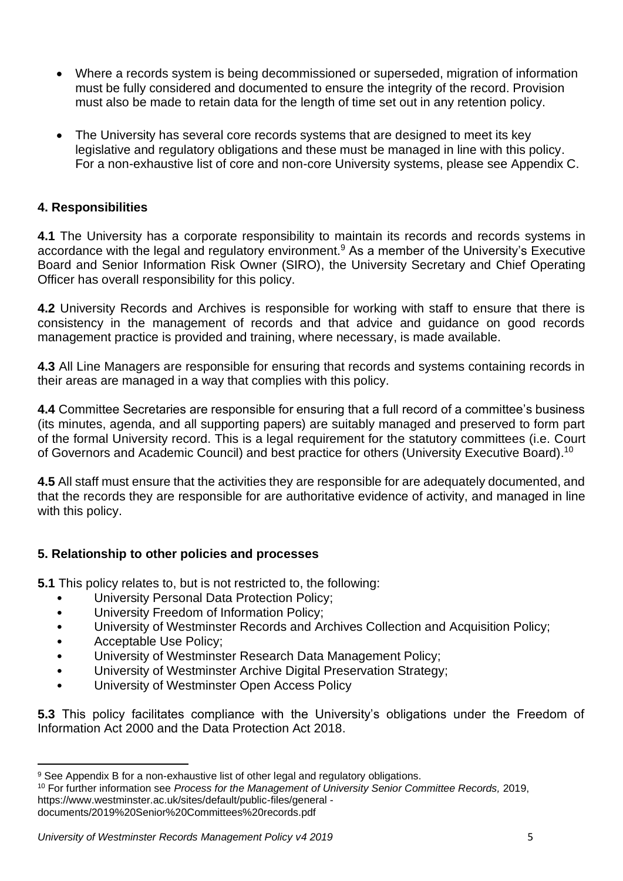- Where a records system is being decommissioned or superseded, migration of information must be fully considered and documented to ensure the integrity of the record. Provision must also be made to retain data for the length of time set out in any retention policy.
- The University has several core records systems that are designed to meet its key legislative and regulatory obligations and these must be managed in line with this policy. For a non-exhaustive list of core and non-core University systems, please see Appendix C.

#### **4. Responsibilities**

**4.1** The University has a corporate responsibility to maintain its records and records systems in accordance with the legal and regulatory environment.<sup>9</sup> As a member of the University's Executive Board and Senior Information Risk Owner (SIRO), the University Secretary and Chief Operating Officer has overall responsibility for this policy.

**4.2** University Records and Archives is responsible for working with staff to ensure that there is consistency in the management of records and that advice and guidance on good records management practice is provided and training, where necessary, is made available.

**4.3** All Line Managers are responsible for ensuring that records and systems containing records in their areas are managed in a way that complies with this policy.

**4.4** Committee Secretaries are responsible for ensuring that a full record of a committee's business (its minutes, agenda, and all supporting papers) are suitably managed and preserved to form part of the formal University record. This is a legal requirement for the statutory committees (i.e. Court of Governors and Academic Council) and best practice for others (University Executive Board).<sup>10</sup>

**4.5** All staff must ensure that the activities they are responsible for are adequately documented, and that the records they are responsible for are authoritative evidence of activity, and managed in line with this policy.

#### **5. Relationship to other policies and processes**

**5.1** This policy relates to, but is not restricted to, the following:

- University Personal Data Protection Policy;
- University Freedom of Information Policy;
- University of Westminster Records and Archives Collection and Acquisition Policy;
- Acceptable Use Policy;
- University of Westminster Research Data Management Policy;
- University of Westminster Archive Digital Preservation Strategy;
- University of Westminster Open Access Policy

**5.3** This policy facilitates compliance with the University's obligations under the Freedom of Information Act 2000 and the Data Protection Act 2018.

<sup>9</sup> See Appendix B for a non-exhaustive list of other legal and regulatory obligations.

<sup>10</sup> For further information see *Process for the Management of University Senior Committee Records,* 2019, https://www.westminster.ac.uk/sites/default/public-files/general -

documents/2019%20Senior%20Committees%20records.pdf

*University of Westminster Records Management Policy v4 2019* 5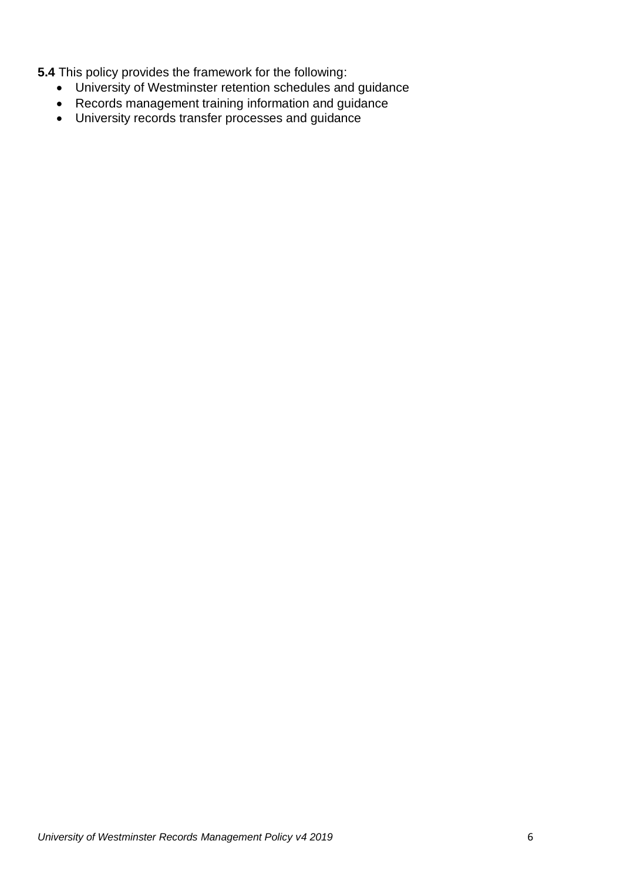**5.4** This policy provides the framework for the following:

- University of Westminster retention schedules and guidance
- Records management training information and guidance
- University records transfer processes and guidance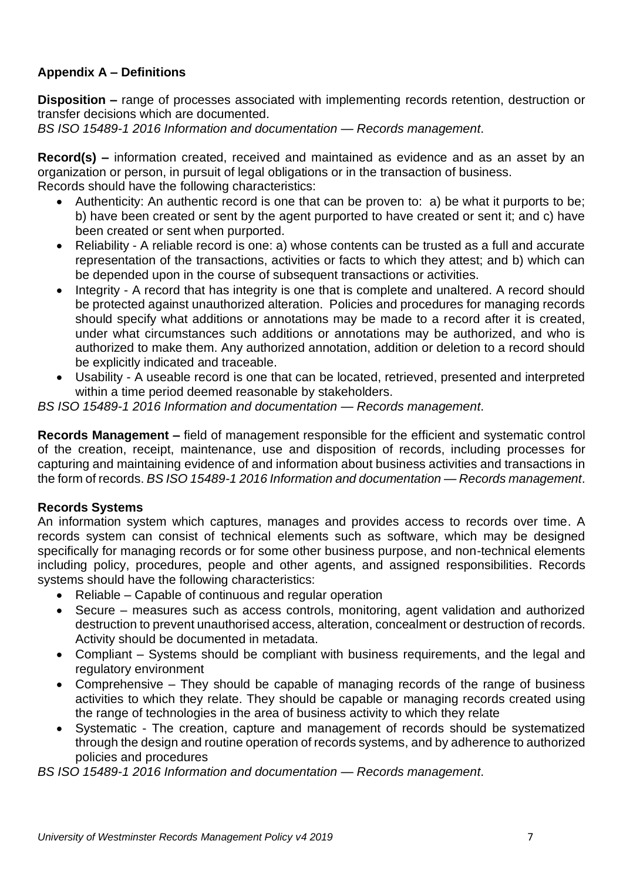# **Appendix A – Definitions**

**Disposition –** range of processes associated with implementing records retention, destruction or transfer decisions which are documented.

*BS ISO 15489-1 2016 Information and documentation — Records management*.

**Record(s) –** information created, received and maintained as evidence and as an asset by an organization or person, in pursuit of legal obligations or in the transaction of business. Records should have the following characteristics:

- Authenticity: An authentic record is one that can be proven to: a) be what it purports to be; b) have been created or sent by the agent purported to have created or sent it; and c) have been created or sent when purported.
- Reliability A reliable record is one: a) whose contents can be trusted as a full and accurate representation of the transactions, activities or facts to which they attest; and b) which can be depended upon in the course of subsequent transactions or activities.
- Integrity A record that has integrity is one that is complete and unaltered. A record should be protected against unauthorized alteration. Policies and procedures for managing records should specify what additions or annotations may be made to a record after it is created, under what circumstances such additions or annotations may be authorized, and who is authorized to make them. Any authorized annotation, addition or deletion to a record should be explicitly indicated and traceable.
- Usability A useable record is one that can be located, retrieved, presented and interpreted within a time period deemed reasonable by stakeholders.

*BS ISO 15489-1 2016 Information and documentation — Records management*.

**Records Management –** field of management responsible for the efficient and systematic control of the creation, receipt, maintenance, use and disposition of records, including processes for capturing and maintaining evidence of and information about business activities and transactions in the form of records. *BS ISO 15489-1 2016 Information and documentation — Records management*.

#### **Records Systems**

An information system which captures, manages and provides access to records over time. A records system can consist of technical elements such as software, which may be designed specifically for managing records or for some other business purpose, and non-technical elements including policy, procedures, people and other agents, and assigned responsibilities. Records systems should have the following characteristics:

- Reliable Capable of continuous and regular operation
- Secure measures such as access controls, monitoring, agent validation and authorized destruction to prevent unauthorised access, alteration, concealment or destruction of records. Activity should be documented in metadata.
- Compliant Systems should be compliant with business requirements, and the legal and regulatory environment
- Comprehensive They should be capable of managing records of the range of business activities to which they relate. They should be capable or managing records created using the range of technologies in the area of business activity to which they relate
- Systematic The creation, capture and management of records should be systematized through the design and routine operation of records systems, and by adherence to authorized policies and procedures

*BS ISO 15489-1 2016 Information and documentation — Records management*.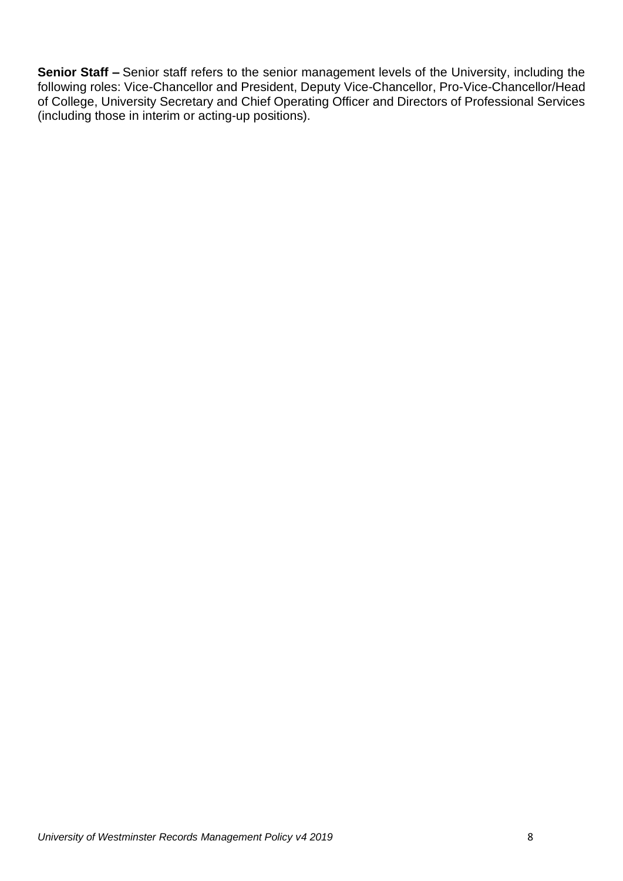**Senior Staff –** Senior staff refers to the senior management levels of the University, including the following roles: Vice-Chancellor and President, Deputy Vice-Chancellor, Pro-Vice-Chancellor/Head of College, University Secretary and Chief Operating Officer and Directors of Professional Services (including those in interim or acting-up positions).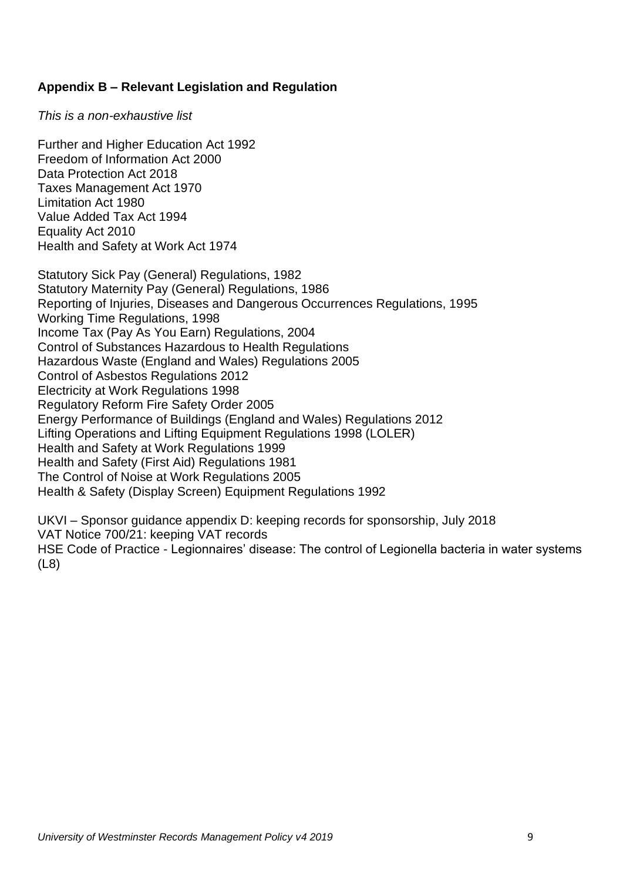#### **Appendix B – Relevant Legislation and Regulation**

*This is a non-exhaustive list*

Further and Higher Education Act 1992 Freedom of Information Act 2000 Data Protection Act 2018 Taxes Management Act 1970 Limitation Act 1980 Value Added Tax Act 1994 Equality Act 2010 Health and Safety at Work Act 1974

Statutory Sick Pay (General) Regulations, 1982 Statutory Maternity Pay (General) Regulations, 1986 Reporting of Injuries, Diseases and Dangerous Occurrences Regulations, 1995 Working Time Regulations, 1998 Income Tax (Pay As You Earn) Regulations, 2004 Control of Substances Hazardous to Health Regulations Hazardous Waste (England and Wales) Regulations 2005 Control of Asbestos Regulations 2012 Electricity at Work Regulations 1998 Regulatory Reform Fire Safety Order 2005 Energy Performance of Buildings (England and Wales) Regulations 2012 Lifting Operations and Lifting Equipment Regulations 1998 (LOLER) Health and Safety at Work Regulations 1999 Health and Safety (First Aid) Regulations 1981 The Control of Noise at Work Regulations 2005 Health & Safety (Display Screen) Equipment Regulations 1992

UKVI – Sponsor guidance appendix D: keeping records for sponsorship, July 2018 VAT Notice 700/21: keeping VAT records HSE Code of Practice - Legionnaires' disease: The control of Legionella bacteria in water systems (L8)